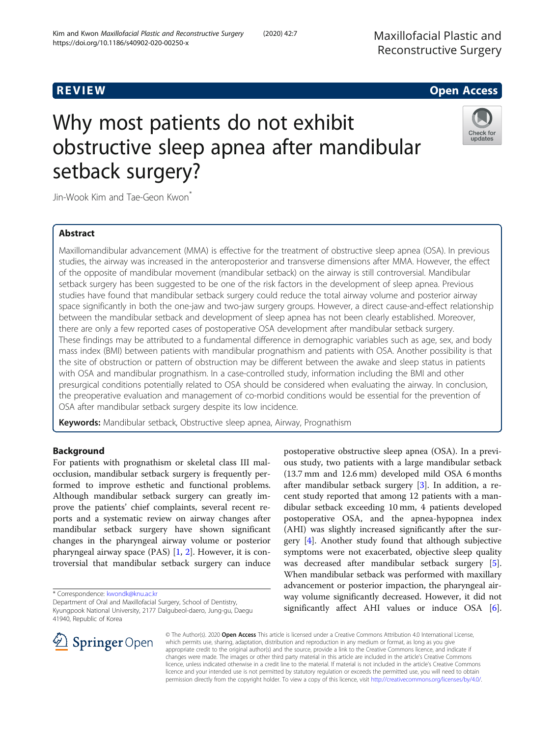## R EVI EW Open Access

# Why most patients do not exhibit obstructive sleep apnea after mandibular setback surgery?



Jin-Wook Kim and Tae-Geon Kwon<sup>\*</sup>

## Abstract

Maxillomandibular advancement (MMA) is effective for the treatment of obstructive sleep apnea (OSA). In previous studies, the airway was increased in the anteroposterior and transverse dimensions after MMA. However, the effect of the opposite of mandibular movement (mandibular setback) on the airway is still controversial. Mandibular setback surgery has been suggested to be one of the risk factors in the development of sleep apnea. Previous studies have found that mandibular setback surgery could reduce the total airway volume and posterior airway space significantly in both the one-jaw and two-jaw surgery groups. However, a direct cause-and-effect relationship between the mandibular setback and development of sleep apnea has not been clearly established. Moreover, there are only a few reported cases of postoperative OSA development after mandibular setback surgery. These findings may be attributed to a fundamental difference in demographic variables such as age, sex, and body mass index (BMI) between patients with mandibular prognathism and patients with OSA. Another possibility is that the site of obstruction or pattern of obstruction may be different between the awake and sleep status in patients with OSA and mandibular prognathism. In a case-controlled study, information including the BMI and other presurgical conditions potentially related to OSA should be considered when evaluating the airway. In conclusion, the preoperative evaluation and management of co-morbid conditions would be essential for the prevention of OSA after mandibular setback surgery despite its low incidence.

Keywords: Mandibular setback, Obstructive sleep apnea, Airway, Prognathism

## Background

For patients with prognathism or skeletal class III malocclusion, mandibular setback surgery is frequently performed to improve esthetic and functional problems. Although mandibular setback surgery can greatly improve the patients' chief complaints, several recent reports and a systematic review on airway changes after mandibular setback surgery have shown significant changes in the pharyngeal airway volume or posterior pharyngeal airway space (PAS) [[1,](#page-6-0) [2\]](#page-6-0). However, it is controversial that mandibular setback surgery can induce

\* Correspondence: [kwondk@knu.ac.kr](mailto:kwondk@knu.ac.kr)

postoperative obstructive sleep apnea (OSA). In a previous study, two patients with a large mandibular setback (13.7 mm and 12.6 mm) developed mild OSA 6 months after mandibular setback surgery [[3](#page-6-0)]. In addition, a recent study reported that among 12 patients with a mandibular setback exceeding 10 mm, 4 patients developed postoperative OSA, and the apnea-hypopnea index (AHI) was slightly increased significantly after the surgery [[4](#page-6-0)]. Another study found that although subjective symptoms were not exacerbated, objective sleep quality was decreased after mandibular setback surgery [\[5](#page-6-0)]. When mandibular setback was performed with maxillary advancement or posterior impaction, the pharyngeal airway volume significantly decreased. However, it did not significantly affect AHI values or induce OSA [\[6](#page-6-0)].



© The Author(s). 2020 Open Access This article is licensed under a Creative Commons Attribution 4.0 International License, which permits use, sharing, adaptation, distribution and reproduction in any medium or format, as long as you give appropriate credit to the original author(s) and the source, provide a link to the Creative Commons licence, and indicate if changes were made. The images or other third party material in this article are included in the article's Creative Commons licence, unless indicated otherwise in a credit line to the material. If material is not included in the article's Creative Commons licence and your intended use is not permitted by statutory regulation or exceeds the permitted use, you will need to obtain permission directly from the copyright holder. To view a copy of this licence, visit <http://creativecommons.org/licenses/by/4.0/>.

Department of Oral and Maxillofacial Surgery, School of Dentistry, Kyungpook National University, 2177 Dalgubeol-daero, Jung-gu, Daegu 41940, Republic of Korea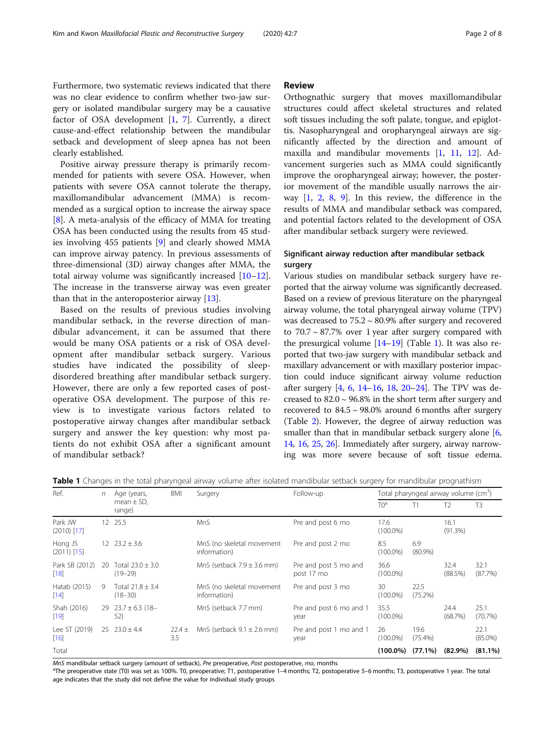<span id="page-1-0"></span>Furthermore, two systematic reviews indicated that there was no clear evidence to confirm whether two-jaw surgery or isolated mandibular surgery may be a causative factor of OSA development  $[1, 7]$  $[1, 7]$  $[1, 7]$  $[1, 7]$ . Currently, a direct cause-and-effect relationship between the mandibular setback and development of sleep apnea has not been clearly established.

Positive airway pressure therapy is primarily recommended for patients with severe OSA. However, when patients with severe OSA cannot tolerate the therapy, maxillomandibular advancement (MMA) is recommended as a surgical option to increase the airway space [[8\]](#page-6-0). A meta-analysis of the efficacy of MMA for treating OSA has been conducted using the results from 45 studies involving 455 patients [\[9\]](#page-6-0) and clearly showed MMA can improve airway patency. In previous assessments of three-dimensional (3D) airway changes after MMA, the total airway volume was significantly increased [[10](#page-6-0)–[12](#page-6-0)]. The increase in the transverse airway was even greater than that in the anteroposterior airway [[13\]](#page-6-0).

Based on the results of previous studies involving mandibular setback, in the reverse direction of mandibular advancement, it can be assumed that there would be many OSA patients or a risk of OSA development after mandibular setback surgery. Various studies have indicated the possibility of sleepdisordered breathing after mandibular setback surgery. However, there are only a few reported cases of postoperative OSA development. The purpose of this review is to investigate various factors related to postoperative airway changes after mandibular setback surgery and answer the key question: why most patients do not exhibit OSA after a significant amount of mandibular setback?

#### Review

Orthognathic surgery that moves maxillomandibular structures could affect skeletal structures and related soft tissues including the soft palate, tongue, and epiglottis. Nasopharyngeal and oropharyngeal airways are significantly affected by the direction and amount of maxilla and mandibular movements [[1](#page-6-0), [11](#page-6-0), [12](#page-6-0)]. Advancement surgeries such as MMA could significantly improve the oropharyngeal airway; however, the posterior movement of the mandible usually narrows the airway [[1,](#page-6-0) [2,](#page-6-0) [8](#page-6-0), [9\]](#page-6-0). In this review, the difference in the results of MMA and mandibular setback was compared, and potential factors related to the development of OSA after mandibular setback surgery were reviewed.

## Significant airway reduction after mandibular setback surgery

Various studies on mandibular setback surgery have reported that the airway volume was significantly decreased. Based on a review of previous literature on the pharyngeal airway volume, the total pharyngeal airway volume (TPV) was decreased to 75.2 ~ 80.9% after surgery and recovered to  $70.7 \sim 87.7\%$  over 1 year after surgery compared with the presurgical volume  $[14–19]$  $[14–19]$  $[14–19]$  $[14–19]$  (Table 1). It was also reported that two-jaw surgery with mandibular setback and maxillary advancement or with maxillary posterior impaction could induce significant airway volume reduction after surgery [[4,](#page-6-0) [6](#page-6-0), [14](#page-6-0)–[16](#page-6-0), [18,](#page-6-0) [20](#page-6-0)–[24\]](#page-6-0). The TPV was decreased to  $82.0 \sim 96.8\%$  in the short term after surgery and recovered to  $84.5 \sim 98.0\%$  around 6 months after surgery (Table [2\)](#page-2-0). However, the degree of airway reduction was smaller than that in mandibular setback surgery alone  $[6, 6]$  $[6, 6]$  $[6, 6]$ [14](#page-6-0), [16](#page-6-0), [25](#page-6-0), [26\]](#page-7-0). Immediately after surgery, airway narrowing was more severe because of soft tissue edema.

Table 1 Changes in the total pharyngeal airway volume after isolated mandibular setback surgery for mandibular prognathism

| Ref.                     | n   | Age (years,<br>mean $\pm$ SD,<br>range) | BMI               | Surgery                                   | Follow-up                           | Total pharyngeal airway volume (cm <sup>3</sup> ) |                    |                 |                    |
|--------------------------|-----|-----------------------------------------|-------------------|-------------------------------------------|-------------------------------------|---------------------------------------------------|--------------------|-----------------|--------------------|
|                          |     |                                         |                   |                                           |                                     | TO <sup>a</sup>                                   | T1                 | T <sub>2</sub>  | T <sub>3</sub>     |
| Park JW<br>$(2010)$ [17] |     | 12 25.5                                 |                   | MnS                                       | Pre and post 6 mo                   | 17.6<br>$(100.0\%)$                               |                    | 16.1<br>(91.3%) |                    |
| Hong JS<br>$(2011)$ [15] |     | $12 \quad 23.2 \pm 3.6$                 |                   | MnS (no skeletal movement<br>information) | Pre and post 2 mo                   | 8.5<br>$(100.0\%)$                                | 6.9<br>$(80.9\%)$  |                 |                    |
| Park SB (2012)<br>$[18]$ | -20 | Total $23.0 \pm 3.0$<br>$(19 - 29)$     |                   | MnS (setback $7.9 \pm 3.6$ mm)            | Pre and post 5 mo and<br>post 17 mo | 36.6<br>$(100.0\%)$                               |                    | 32.4<br>(88.5%) | 32.1<br>(87.7%)    |
| Hatab (2015)<br>$[14]$   | 9   | Total $21.8 \pm 3.4$<br>$(18 - 30)$     |                   | MnS (no skeletal movement<br>information) | Pre and post 3 mo                   | 30<br>$(100.0\%)$                                 | 22.5<br>(75.2%)    |                 |                    |
| Shah (2016)<br>$[19]$    |     | 29 $23.7 \pm 6.3$ (18-<br>52)           |                   | MnS (setback 7.7 mm)                      | Pre and post 6 mo and 1<br>year     | 35.5<br>$(100.0\%)$                               |                    | 24.4<br>(68.7%) | 25.1<br>(70.7%)    |
| Lee ST (2019)<br>$[16]$  |     | $25 \quad 23.0 \pm 4.4$                 | $22.4 \pm$<br>3.5 | MnS (setback $9.1 \pm 2.6$ mm)            | Pre and post 1 mo and 1<br>year     | 26<br>$(100.0\%)$                                 | 19.6<br>$(75.4\%)$ |                 | 22.1<br>$(85.0\%)$ |
| Total                    |     |                                         |                   |                                           |                                     | (100.0%)                                          | $(77.1\%)$         | $(82.9\%)$      | $(81.1\%)$         |

MnS mandibular setback surgery (amount of setback), Pre preoperative, Post postoperative, mo, months

The preoperative state (T0) was set as 100%. T0, preoperative; T1, postoperative 1–4 months; T2, postoperative 5–6 months; T3, postoperative 1 year. The total age indicates that the study did not define the value for individual study groups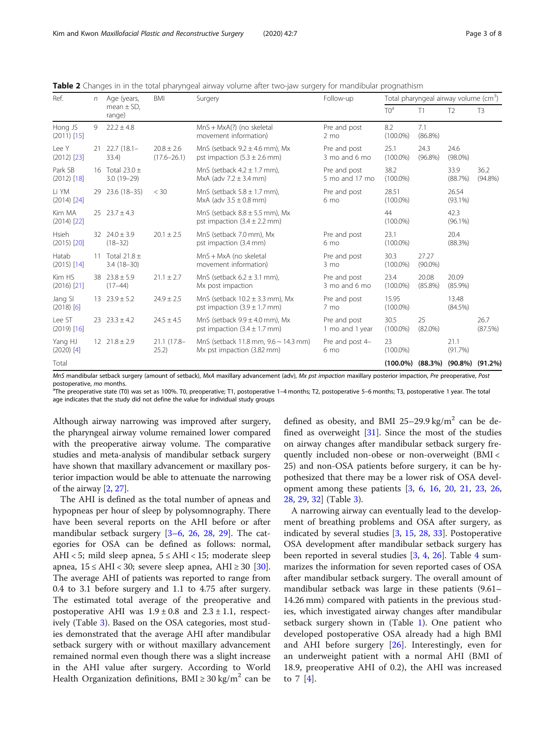| Ref.                     | n  | Age (years,                      | <b>BMI</b>                        | Surgery                                                                         | Follow-up                       | Total pharyngeal airway volume (cm <sup>3</sup> ) |                     |                     |                    |
|--------------------------|----|----------------------------------|-----------------------------------|---------------------------------------------------------------------------------|---------------------------------|---------------------------------------------------|---------------------|---------------------|--------------------|
|                          |    | mean $\pm$ SD,<br>range)         |                                   |                                                                                 |                                 | TO <sup>a</sup>                                   | T1                  | T <sub>2</sub>      | T <sub>3</sub>     |
| Hong JS<br>$(2011)$ [15] | 9  | $22.2 \pm 4.8$                   |                                   | $MnS + MxA(?)$ (no skeletal<br>movement information)                            | Pre and post<br>$2 \text{ mo}$  | 8.2<br>$(100.0\%)$                                | 7.1<br>$(86.8\%)$   |                     |                    |
| Lee Y<br>$(2012)$ [23]   | 21 | $22.7(18.1 -$<br>33.4)           | $20.8 \pm 2.6$<br>$(17.6 - 26.1)$ | MnS (setback $9.2 \pm 4.6$ mm). Mx<br>pst impaction $(5.3 \pm 2.6 \text{ mm})$  | Pre and post<br>3 mo and 6 mo   | 25.1<br>$(100.0\%)$                               | 24.3<br>$(96.8\%)$  | 24.6<br>$(98.0\%)$  |                    |
| Park SB<br>$(2012)$ [18] | 16 | Total 23.0 $\pm$<br>$3.0(19-29)$ |                                   | MnS (setback $4.2 \pm 1.7$ mm),<br>MxA (adv $7.2 \pm 3.4$ mm)                   | Pre and post<br>5 mo and 17 mo  | 38.2<br>$(100.0\%)$                               |                     | 33.9<br>(88.7%)     | 36.2<br>$(94.8\%)$ |
| Li YM<br>$(2014)$ [24]   | 29 | 23.6 (18-35)                     | $<$ 30                            | MnS (setback $5.8 \pm 1.7$ mm),<br>MxA (adv $3.5 \pm 0.8$ mm)                   | Pre and post<br>6 mo            | 28.51<br>$(100.0\%)$                              |                     | 26.54<br>$(93.1\%)$ |                    |
| Kim MA<br>$(2014)$ [22]  |    | $25 \quad 23.7 \pm 4.3$          |                                   | MnS (setback $8.8 \pm 5.5$ mm), Mx<br>pst impaction $(3.4 \pm 2.2 \text{ mm})$  |                                 | 44<br>$(100.0\%)$                                 |                     | 42.3<br>$(96.1\%)$  |                    |
| Hsieh<br>$(2015)$ $[20]$ |    | 32 $24.0 \pm 3.9$<br>$(18 - 32)$ | $20.1 \pm 2.5$                    | MnS (setback 7.0 mm), Mx<br>pst impaction (3.4 mm)                              | Pre and post<br>6 mo            | 23.1<br>$(100.0\%)$                               |                     | 20.4<br>(88.3%)     |                    |
| Hatab<br>$(2015)$ [14]   | 11 | Total 21.8 $\pm$<br>$3.4(18-30)$ |                                   | MnS + MxA (no skeletal<br>movement information)                                 | Pre and post<br>$3 \text{ mo}$  | 30.3<br>$(100.0\%)$                               | 27.27<br>$(90.0\%)$ |                     |                    |
| Kim HS<br>$(2016)$ [21]  |    | 38 $23.8 \pm 5.9$<br>$(17-44)$   | $21.1 \pm 2.7$                    | MnS (setback $6.2 \pm 3.1$ mm),<br>Mx post impaction                            | Pre and post<br>3 mo and 6 mo   | 23.4<br>$(100.0\%)$                               | 20.08<br>$(85.8\%)$ | 20.09<br>$(85.9\%)$ |                    |
| Jang SI<br>$(2018)$ [6]  |    | $13 \quad 23.9 \pm 5.2$          | $24.9 \pm 2.5$                    | MnS (setback $10.2 \pm 3.3$ mm), Mx<br>pst impaction $(3.9 \pm 1.7 \text{ mm})$ | Pre and post<br>7 mo            | 15.95<br>$(100.0\%)$                              |                     | 13.48<br>$(84.5\%)$ |                    |
| Lee ST<br>$(2019)$ [16]  | 23 | $23.3 \pm 4.2$                   | $24.5 \pm 4.5$                    | MnS (setback $9.9 \pm 4.0$ mm), Mx<br>pst impaction $(3.4 \pm 1.7 \text{ mm})$  | Pre and post<br>1 mo and 1 year | 30.5<br>$(100.0\%)$                               | 25<br>$(82.0\%)$    |                     | 26.7<br>(87.5%)    |
| Yang HJ<br>$(2020)$ [4]  |    | 12 $21.8 \pm 2.9$                | $21.1(17.8 -$<br>25.2)            | MnS (setback 11.8 mm, 9.6 ~ 14.3 mm)<br>Mx pst impaction (3.82 mm)              | Pre and post 4-<br>6 mo         | 23<br>$(100.0\%)$                                 |                     | 21.1<br>(91.7%)     |                    |
| Total                    |    |                                  |                                   |                                                                                 |                                 | $(100.0\%)$                                       | (88.3%)             | $(90.8\%)$          | $(91.2\%)$         |

<span id="page-2-0"></span>Table 2 Changes in in the total pharyngeal airway volume after two-jaw surgery for mandibular prognathism

MnS mandibular setback surgery (amount of setback), MxA maxillary advancement (adv), Mx pst impaction maxillary posterior impaction, Pre preoperative, Post postoperative, mo months.

The preoperative state (T0) was set as 100%. T0, preoperative; T1, postoperative 1–4 months; T2, postoperative 5–6 months; T3, postoperative 1 year. The total age indicates that the study did not define the value for individual study groups

Although airway narrowing was improved after surgery, the pharyngeal airway volume remained lower compared with the preoperative airway volume. The comparative studies and meta-analysis of mandibular setback surgery have shown that maxillary advancement or maxillary posterior impaction would be able to attenuate the narrowing of the airway [[2,](#page-6-0) [27](#page-7-0)].

The AHI is defined as the total number of apneas and hypopneas per hour of sleep by polysomnography. There have been several reports on the AHI before or after mandibular setback surgery [[3](#page-6-0)–[6,](#page-6-0) [26](#page-7-0), [28](#page-7-0), [29\]](#page-7-0). The categories for OSA can be defined as follows: normal, AHI < 5; mild sleep apnea,  $5 \leq AHI$  < 15; moderate sleep apnea,  $15 \leq AHI < 30$ ; severe sleep apnea, AHI ≥ 30 [\[30](#page-7-0)]. The average AHI of patients was reported to range from 0.4 to 3.1 before surgery and 1.1 to 4.75 after surgery. The estimated total average of the preoperative and postoperative AHI was  $1.9 \pm 0.8$  and  $2.3 \pm 1.1$ , respectively (Table [3](#page-3-0)). Based on the OSA categories, most studies demonstrated that the average AHI after mandibular setback surgery with or without maxillary advancement remained normal even though there was a slight increase in the AHI value after surgery. According to World Health Organization definitions,  $BMI \geq 30 \text{ kg/m}^2$  can be

defined as obesity, and BMI 25–29.9 kg/m<sup>2</sup> can be defined as overweight  $[31]$  $[31]$ . Since the most of the studies on airway changes after mandibular setback surgery frequently included non-obese or non-overweight (BMI < 25) and non-OSA patients before surgery, it can be hypothesized that there may be a lower risk of OSA development among these patients [\[3,](#page-6-0) [6](#page-6-0), [16,](#page-6-0) [20](#page-6-0), [21,](#page-6-0) [23](#page-6-0), [26](#page-7-0), [28,](#page-7-0) [29](#page-7-0), [32](#page-7-0)] (Table [3](#page-3-0)).

A narrowing airway can eventually lead to the development of breathing problems and OSA after surgery, as indicated by several studies [\[3,](#page-6-0) [15](#page-6-0), [28,](#page-7-0) [33\]](#page-7-0). Postoperative OSA development after mandibular setback surgery has been reported in several studies  $[3, 4, 26]$  $[3, 4, 26]$  $[3, 4, 26]$  $[3, 4, 26]$  $[3, 4, 26]$  $[3, 4, 26]$ . Table [4](#page-3-0) summarizes the information for seven reported cases of OSA after mandibular setback surgery. The overall amount of mandibular setback was large in these patients (9.61– 14.26 mm) compared with patients in the previous studies, which investigated airway changes after mandibular setback surgery shown in (Table [1](#page-1-0)). One patient who developed postoperative OSA already had a high BMI and AHI before surgery  $[26]$  $[26]$ . Interestingly, even for an underweight patient with a normal AHI (BMI of 18.9, preoperative AHI of 0.2), the AHI was increased to  $7 \,$  [\[4](#page-6-0)].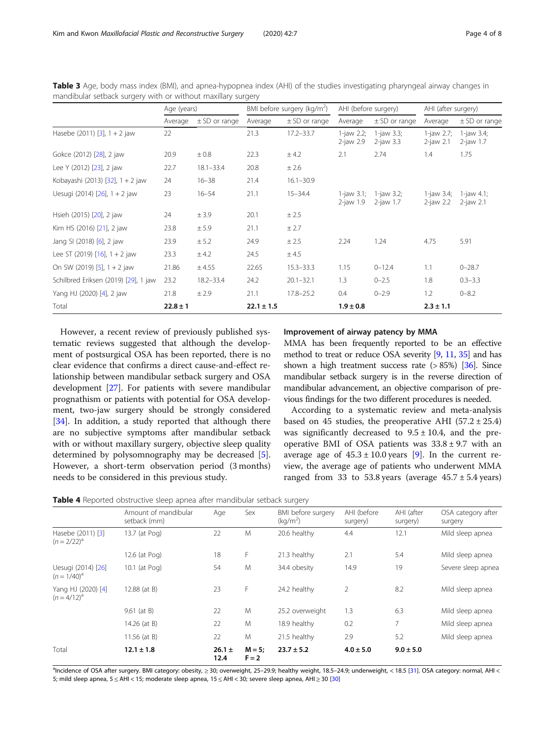|                                      | Age (years)  |                   | BMI before surgery (kg/m <sup>2</sup> ) |                   | AHI (before surgery)             |                               | AHI (after surgery)        |                               |
|--------------------------------------|--------------|-------------------|-----------------------------------------|-------------------|----------------------------------|-------------------------------|----------------------------|-------------------------------|
|                                      | Average      | $\pm$ SD or range | Average                                 | $\pm$ SD or range | Average                          | $\pm$ SD or range             | Average                    | $\pm$ SD or range             |
| Hasebe (2011) $[3]$ , 1 + 2 jaw      | 22           |                   | 21.3                                    | $17.2 - 33.7$     | $1$ -jaw 2.2;<br>$2$ -jaw 2.9    | 1-jaw 3.3;<br>$2$ -jaw 3.3    | $1$ -jaw 2.7;<br>2-jaw 2.1 | $1$ -jaw 3.4;<br>$2$ -jaw 1.7 |
| Gokce (2012) [28], 2 jaw             | 20.9         | $\pm 0.8$         | 22.3                                    | ± 4.2             | 2.1                              | 2.74                          | 1.4                        | 1.75                          |
| Lee Y (2012) [23], 2 jaw             | 22.7         | $18.1 - 33.4$     | 20.8                                    | ± 2.6             |                                  |                               |                            |                               |
| Kobayashi (2013) [32], 1 + 2 jaw     | 24           | $16 - 38$         | 21.4                                    | $16.1 - 30.9$     |                                  |                               |                            |                               |
| Uesugi (2014) $[26]$ , 1 + 2 jaw     | 23           | $16 - 54$         | 21.1                                    | $15 - 34.4$       | $1$ -jaw $3.1$ ;<br>$2$ -jaw 1.9 | 1-jaw $3.2$ ;<br>$2$ -jaw 1.7 | 1-jaw 3.4;<br>$2$ -jaw 2.2 | 1-jaw 4.1;<br>$2$ -jaw 2.1    |
| Hsieh (2015) [20], 2 jaw             | 24           | ± 3.9             | 20.1                                    | ± 2.5             |                                  |                               |                            |                               |
| Kim HS (2016) [21], 2 jaw            | 23.8         | ± 5.9             | 21.1                                    | ± 2.7             |                                  |                               |                            |                               |
| Jang SI (2018) [6], 2 jaw            | 23.9         | ± 5.2             | 24.9                                    | ± 2.5             | 2.24                             | 1.24                          | 4.75                       | 5.91                          |
| Lee ST (2019) $[16]$ , 1 + 2 jaw     | 23.3         | ± 4.2             | 24.5                                    | ± 4.5             |                                  |                               |                            |                               |
| On SW (2019) [5], 1 + 2 jaw          | 21.86        | ± 4.55            | 22.65                                   | $15.3 - 33.3$     | 1.15                             | $0 - 12.4$                    | 1.1                        | $0 - 28.7$                    |
| Schilbred Eriksen (2019) [29], 1 jaw | 23.2         | 18.2-33.4         | 24.2                                    | $20.1 - 32.1$     | 1.3                              | $0 - 2.5$                     | 1.8                        | $0.3 - 3.3$                   |
| Yang HJ (2020) [4], 2 jaw            | 21.8         | ± 2.9             | 21.1                                    | $17.8 - 25.2$     | 0.4                              | $0 - 2.9$                     | 1.2                        | $0 - 8.2$                     |
| Total                                | $22.8 \pm 1$ |                   | $22.1 \pm 1.5$                          |                   | $1.9 \pm 0.8$                    |                               | $2.3 \pm 1.1$              |                               |

<span id="page-3-0"></span>Table 3 Age, body mass index (BMI), and apnea-hypopnea index (AHI) of the studies investigating pharyngeal airway changes in mandibular setback surgery with or without maxillary surgery

However, a recent review of previously published systematic reviews suggested that although the development of postsurgical OSA has been reported, there is no clear evidence that confirms a direct cause-and-effect relationship between mandibular setback surgery and OSA development [[27\]](#page-7-0). For patients with severe mandibular prognathism or patients with potential for OSA development, two-jaw surgery should be strongly considered [[34\]](#page-7-0). In addition, a study reported that although there are no subjective symptoms after mandibular setback with or without maxillary surgery, objective sleep quality determined by polysomnography may be decreased [\[5](#page-6-0)]. However, a short-term observation period (3 months) needs to be considered in this previous study.

#### Improvement of airway patency by MMA

MMA has been frequently reported to be an effective method to treat or reduce OSA severity [\[9,](#page-6-0) [11](#page-6-0), [35\]](#page-7-0) and has shown a high treatment success rate  $(> 85%)$  [\[36\]](#page-7-0). Since mandibular setback surgery is in the reverse direction of mandibular advancement, an objective comparison of previous findings for the two different procedures is needed.

According to a systematic review and meta-analysis based on 45 studies, the preoperative AHI  $(57.2 \pm 25.4)$ was significantly decreased to  $9.5 \pm 10.4$ , and the preoperative BMI of OSA patients was  $33.8 \pm 9.7$  with an average age of  $45.3 \pm 10.0$  years [\[9](#page-6-0)]. In the current review, the average age of patients who underwent MMA ranged from 33 to 53.8 years (average  $45.7 \pm 5.4$  years)

|  | Table 4 Reported obstructive sleep apnea after mandibular setback surgery |  |  |  |
|--|---------------------------------------------------------------------------|--|--|--|
|--|---------------------------------------------------------------------------|--|--|--|

|                                       | Amount of mandibular<br>setback (mm) | Age                | Sex                  | BMI before surgery<br>(kq/m <sup>2</sup> ) | AHI (before<br>surgery) | AHI (after<br>surgery) | OSA category after<br>surgery |
|---------------------------------------|--------------------------------------|--------------------|----------------------|--------------------------------------------|-------------------------|------------------------|-------------------------------|
| Hasebe (2011) [3]<br>$(n = 2/22)^{d}$ | 13.7 (at Pog)                        | 22                 | M                    | 20.6 healthy                               | 4.4                     | 12.1                   | Mild sleep apnea              |
|                                       | 12.6 (at Pog)                        | 18                 | F                    | 21.3 healthy                               | 2.1                     | 5.4                    | Mild sleep apnea              |
| Uesugi (2014) [26]<br>$(n = 1/40)^a$  | 10.1 (at Pog)                        | 54                 | M                    | 34.4 obesity                               | 14.9                    | 19                     | Severe sleep apnea            |
| Yang HJ (2020) [4]<br>$(n=4/12)^{d}$  | 12.88 (at B)                         | 23                 | F                    | 24.2 healthy                               | $\overline{2}$          | 8.2                    | Mild sleep apnea              |
|                                       | $9.61$ (at B)                        | 22                 | M                    | 25.2 overweight                            | 1.3                     | 6.3                    | Mild sleep apnea              |
|                                       | 14.26 (at B)                         | 22                 | M                    | 18.9 healthy                               | 0.2                     | 7                      | Mild sleep apnea              |
|                                       | 11.56 (at B)                         | 22                 | M                    | 21.5 healthy                               | 2.9                     | 5.2                    | Mild sleep apnea              |
| Total                                 | $12.1 \pm 1.8$                       | $26.1 \pm$<br>12.4 | $M = 5$ ;<br>$F = 2$ | $23.7 \pm 5.2$                             | $4.0 \pm 5.0$           | $9.0 \pm 5.0$          |                               |

a Incidence of OSA after surgery. BMI category: obesity, ≥ 30; overweight, 25–29.9; healthy weight, 18.5–24.9; underweight, < 18.5 [\[31](#page-7-0)]. OSA category: normal, AHI < 5; mild sleep apnea, 5 ≤ AHI < 15; moderate sleep apnea, 15 ≤ AHI < 30; severe sleep apnea, AHI ≥ 30 [\[30](#page-7-0)]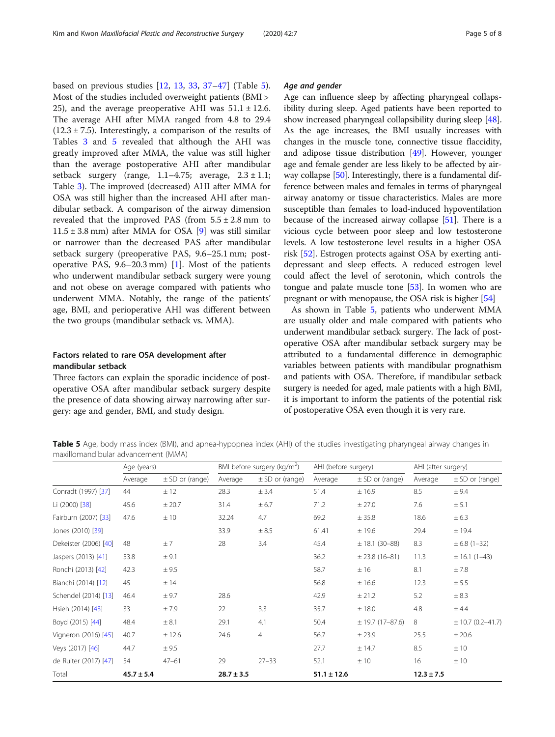based on previous studies [[12,](#page-6-0) [13](#page-6-0), [33](#page-7-0), [37](#page-7-0)–[47\]](#page-7-0) (Table 5). Most of the studies included overweight patients (BMI > 25), and the average preoperative AHI was  $51.1 \pm 12.6$ . The average AHI after MMA ranged from 4.8 to 29.4  $(12.3 \pm 7.5)$ . Interestingly, a comparison of the results of Tables [3](#page-3-0) and 5 revealed that although the AHI was greatly improved after MMA, the value was still higher than the average postoperative AHI after mandibular setback surgery (range,  $1.1-4.75$ ; average,  $2.3 \pm 1.1$ ; Table [3\)](#page-3-0). The improved (decreased) AHI after MMA for OSA was still higher than the increased AHI after mandibular setback. A comparison of the airway dimension revealed that the improved PAS (from  $5.5 \pm 2.8$  mm to  $11.5 \pm 3.8$  mm) after MMA for OSA [[9\]](#page-6-0) was still similar or narrower than the decreased PAS after mandibular setback surgery (preoperative PAS, 9.6–25.1 mm; postoperative PAS,  $9.6-20.3$  mm) [\[1](#page-6-0)]. Most of the patients who underwent mandibular setback surgery were young and not obese on average compared with patients who underwent MMA. Notably, the range of the patients' age, BMI, and perioperative AHI was different between the two groups (mandibular setback vs. MMA).

## Factors related to rare OSA development after mandibular setback

Three factors can explain the sporadic incidence of postoperative OSA after mandibular setback surgery despite the presence of data showing airway narrowing after surgery: age and gender, BMI, and study design.

#### Age and gender

Age can influence sleep by affecting pharyngeal collapsibility during sleep. Aged patients have been reported to show increased pharyngeal collapsibility during sleep [[48](#page-7-0)]. As the age increases, the BMI usually increases with changes in the muscle tone, connective tissue flaccidity, and adipose tissue distribution [[49](#page-7-0)]. However, younger age and female gender are less likely to be affected by air-way collapse [\[50\]](#page-7-0). Interestingly, there is a fundamental difference between males and females in terms of pharyngeal airway anatomy or tissue characteristics. Males are more susceptible than females to load-induced hypoventilation because of the increased airway collapse [[51](#page-7-0)]. There is a vicious cycle between poor sleep and low testosterone levels. A low testosterone level results in a higher OSA risk [[52](#page-7-0)]. Estrogen protects against OSA by exerting antidepressant and sleep effects. A reduced estrogen level could affect the level of serotonin, which controls the tongue and palate muscle tone [\[53\]](#page-7-0). In women who are pregnant or with menopause, the OSA risk is higher [\[54\]](#page-7-0)

As shown in Table 5, patients who underwent MMA are usually older and male compared with patients who underwent mandibular setback surgery. The lack of postoperative OSA after mandibular setback surgery may be attributed to a fundamental difference in demographic variables between patients with mandibular prognathism and patients with OSA. Therefore, if mandibular setback surgery is needed for aged, male patients with a high BMI, it is important to inform the patients of the potential risk of postoperative OSA even though it is very rare.

**Table 5** Age, body mass index (BMI), and apnea-hypopnea index (AHI) of the studies investigating pharyngeal airway changes in maxillomandibular advancement (MMA)

|                       | Age (years)    |                     | BMI before surgery ( $kg/m2$ ) |                     | AHI (before surgery) |                      | AHI (after surgery) |                       |
|-----------------------|----------------|---------------------|--------------------------------|---------------------|----------------------|----------------------|---------------------|-----------------------|
|                       | Average        | $\pm$ SD or (range) | Average                        | $\pm$ SD or (range) | Average              | $\pm$ SD or (range)  | Average             | $\pm$ SD or (range)   |
| Conradt (1997) [37]   | 44             | ± 12                | 28.3                           | ± 3.4               | 51.4                 | ±16.9                | 8.5                 | ± 9.4                 |
| Li (2000) [38]        | 45.6           | ± 20.7              | 31.4                           | ± 6.7               | 71.2                 | ± 27.0               | 7.6                 | ± 5.1                 |
| Fairburn (2007) [33]  | 47.6           | ±10                 | 32.24                          | 4.7                 | 69.2                 | ± 35.8               | 18.6                | ± 6.3                 |
| Jones (2010) [39]     |                |                     | 33.9                           | ± 8.5               | 61.41                | ±19.6                | 29.4                | $±$ 19.4              |
| Dekeister (2006) [40] | 48             | ±7                  | 28                             | 3.4                 | 45.4                 | $\pm$ 18.1 (30-88)   | 8.3                 | $\pm 6.8$ (1-32)      |
| Jaspers (2013) [41]   | 53.8           | ± 9.1               |                                |                     | 36.2                 | $\pm 23.8$ (16-81)   | 11.3                | $\pm$ 16.1 (1-43)     |
| Ronchi (2013) [42]    | 42.3           | ± 9.5               |                                |                     | 58.7                 | ±16                  | 8.1                 | ±7.8                  |
| Bianchi (2014) [12]   | 45             | ±14                 |                                |                     | 56.8                 | ±16.6                | 12.3                | ± 5.5                 |
| Schendel (2014) [13]  | 46.4           | ± 9.7               | 28.6                           |                     | 42.9                 | ± 21.2               | 5.2                 | ± 8.3                 |
| Hsieh (2014) [43]     | 33             | ±7.9                | 22                             | 3.3                 | 35.7                 | ±18.0                | 4.8                 | ± 4.4                 |
| Boyd (2015) [44]      | 48.4           | ± 8.1               | 29.1                           | 4.1                 | 50.4                 | $\pm$ 19.7 (17-87.6) | 8                   | $\pm$ 10.7 (0.2–41.7) |
| Vigneron (2016) [45]  | 40.7           | ± 12.6              | 24.6                           | 4                   | 56.7                 | ± 23.9               | 25.5                | $±$ 20.6              |
| Veys (2017) [46]      | 44.7           | ± 9.5               |                                |                     | 27.7                 | ± 14.7               | 8.5                 | ±10                   |
| de Ruiter (2017) [47] | 54             | $47 - 61$           | 29                             | $27 - 33$           | 52.1                 | ±10                  | 16                  | ±10                   |
| Total                 | $45.7 \pm 5.4$ |                     | $28.7 \pm 3.5$                 |                     | $51.1 \pm 12.6$      |                      | $12.3 \pm 7.5$      |                       |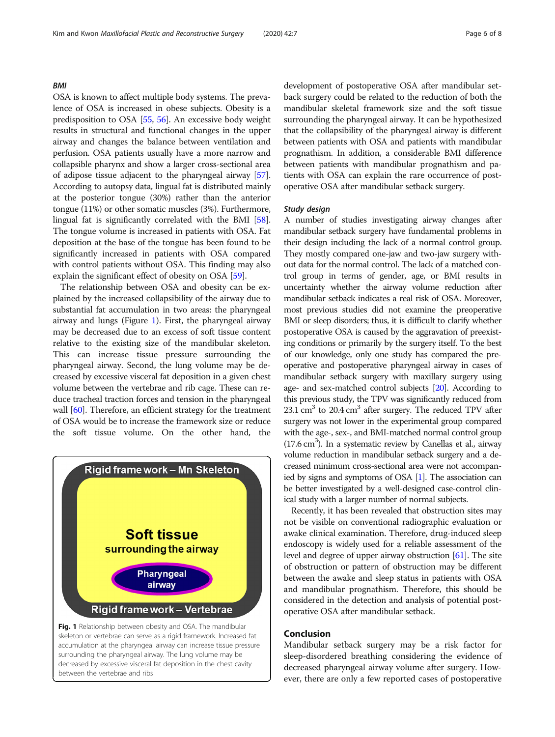#### BMI

OSA is known to affect multiple body systems. The prevalence of OSA is increased in obese subjects. Obesity is a predisposition to OSA [\[55](#page-7-0), [56](#page-7-0)]. An excessive body weight results in structural and functional changes in the upper airway and changes the balance between ventilation and perfusion. OSA patients usually have a more narrow and collapsible pharynx and show a larger cross-sectional area of adipose tissue adjacent to the pharyngeal airway [[57](#page-7-0)]. According to autopsy data, lingual fat is distributed mainly at the posterior tongue (30%) rather than the anterior tongue (11%) or other somatic muscles (3%). Furthermore, lingual fat is significantly correlated with the BMI [[58](#page-7-0)]. The tongue volume is increased in patients with OSA. Fat deposition at the base of the tongue has been found to be significantly increased in patients with OSA compared with control patients without OSA. This finding may also explain the significant effect of obesity on OSA [\[59\]](#page-7-0).

The relationship between OSA and obesity can be explained by the increased collapsibility of the airway due to substantial fat accumulation in two areas: the pharyngeal airway and lungs (Figure 1). First, the pharyngeal airway may be decreased due to an excess of soft tissue content relative to the existing size of the mandibular skeleton. This can increase tissue pressure surrounding the pharyngeal airway. Second, the lung volume may be decreased by excessive visceral fat deposition in a given chest volume between the vertebrae and rib cage. These can reduce tracheal traction forces and tension in the pharyngeal wall [[60](#page-7-0)]. Therefore, an efficient strategy for the treatment of OSA would be to increase the framework size or reduce the soft tissue volume. On the other hand, the



surrounding the pharyngeal airway. The lung volume may be decreased by excessive visceral fat deposition in the chest cavity between the vertebrae and ribs

development of postoperative OSA after mandibular setback surgery could be related to the reduction of both the mandibular skeletal framework size and the soft tissue surrounding the pharyngeal airway. It can be hypothesized that the collapsibility of the pharyngeal airway is different between patients with OSA and patients with mandibular prognathism. In addition, a considerable BMI difference between patients with mandibular prognathism and patients with OSA can explain the rare occurrence of postoperative OSA after mandibular setback surgery.

#### Study design

A number of studies investigating airway changes after mandibular setback surgery have fundamental problems in their design including the lack of a normal control group. They mostly compared one-jaw and two-jaw surgery without data for the normal control. The lack of a matched control group in terms of gender, age, or BMI results in uncertainty whether the airway volume reduction after mandibular setback indicates a real risk of OSA. Moreover, most previous studies did not examine the preoperative BMI or sleep disorders; thus, it is difficult to clarify whether postoperative OSA is caused by the aggravation of preexisting conditions or primarily by the surgery itself. To the best of our knowledge, only one study has compared the preoperative and postoperative pharyngeal airway in cases of mandibular setback surgery with maxillary surgery using age- and sex-matched control subjects [\[20\]](#page-6-0). According to this previous study, the TPV was significantly reduced from 23.1 cm<sup>3</sup> to 20.4 cm<sup>3</sup> after surgery. The reduced TPV after surgery was not lower in the experimental group compared with the age-, sex-, and BMI-matched normal control group  $(17.6 \text{ cm}^3)$ . In a systematic review by Canellas et al., airway volume reduction in mandibular setback surgery and a decreased minimum cross-sectional area were not accompanied by signs and symptoms of OSA [[1](#page-6-0)]. The association can be better investigated by a well-designed case-control clinical study with a larger number of normal subjects.

Recently, it has been revealed that obstruction sites may not be visible on conventional radiographic evaluation or awake clinical examination. Therefore, drug-induced sleep endoscopy is widely used for a reliable assessment of the level and degree of upper airway obstruction [[61](#page-7-0)]. The site of obstruction or pattern of obstruction may be different between the awake and sleep status in patients with OSA and mandibular prognathism. Therefore, this should be considered in the detection and analysis of potential postoperative OSA after mandibular setback.

### Conclusion

Mandibular setback surgery may be a risk factor for sleep-disordered breathing considering the evidence of decreased pharyngeal airway volume after surgery. However, there are only a few reported cases of postoperative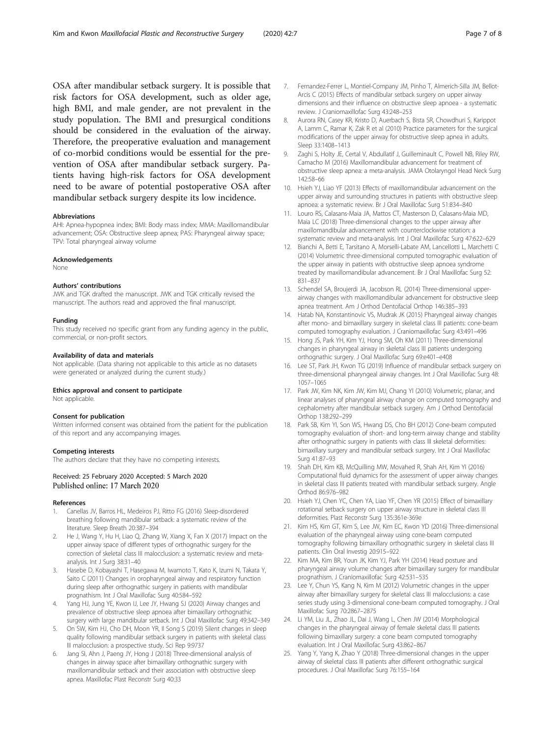<span id="page-6-0"></span>OSA after mandibular setback surgery. It is possible that risk factors for OSA development, such as older age, high BMI, and male gender, are not prevalent in the study population. The BMI and presurgical conditions should be considered in the evaluation of the airway. Therefore, the preoperative evaluation and management of co-morbid conditions would be essential for the prevention of OSA after mandibular setback surgery. Patients having high-risk factors for OSA development need to be aware of potential postoperative OSA after mandibular setback surgery despite its low incidence.

#### **Abbreviations**

AHI: Apnea-hypopnea index; BMI: Body mass index; MMA: Maxillomandibular advancement; OSA: Obstructive sleep apnea; PAS: Pharyngeal airway space; TPV: Total pharyngeal airway volume

#### Acknowledgements

None

#### Authors' contributions

JWK and TGK drafted the manuscript. JWK and TGK critically revised the manuscript. The authors read and approved the final manuscript.

#### Funding

This study received no specific grant from any funding agency in the public, commercial, or non-profit sectors.

#### Availability of data and materials

Not applicable. (Data sharing not applicable to this article as no datasets were generated or analyzed during the current study.)

#### Ethics approval and consent to participate

Not applicable.

#### Consent for publication

Written informed consent was obtained from the patient for the publication of this report and any accompanying images.

#### Competing interests

The authors declare that they have no competing interests.

#### Received: 25 February 2020 Accepted: 5 March 2020 Published online: 17 March 2020

#### References

- 1. Canellas JV, Barros HL, Medeiros PJ, Ritto FG (2016) Sleep-disordered breathing following mandibular setback: a systematic review of the literature. Sleep Breath 20:387–394
- He J, Wang Y, Hu H, Liao Q, Zhang W, Xiang X, Fan X (2017) Impact on the upper airway space of different types of orthognathic surgery for the correction of skeletal class III malocclusion: a systematic review and metaanalysis. Int J Surg 38:31–40
- Hasebe D, Kobayashi T, Hasegawa M, Iwamoto T, Kato K, Izumi N, Takata Y, Saito C (2011) Changes in oropharyngeal airway and respiratory function during sleep after orthognathic surgery in patients with mandibular prognathism. Int J Oral Maxillofac Surg 40:584–592
- Yang HJ, Jung YE, Kwon IJ, Lee JY, Hwang SJ (2020) Airway changes and prevalence of obstructive sleep apnoea after bimaxillary orthognathic surgery with large mandibular setback. Int J Oral Maxillofac Surg 49:342–349
- 5. On SW, Kim HJ, Cho DH, Moon YR, Il Song S (2019) Silent changes in sleep quality following mandibular setback surgery in patients with skeletal class III malocclusion: a prospective study. Sci Rep 9:9737
- 6. Jang SI, Ahn J, Paeng JY, Hong J (2018) Three-dimensional analysis of changes in airway space after bimaxillary orthognathic surgery with maxillomandibular setback and their association with obstructive sleep apnea. Maxillofac Plast Reconstr Surg 40:33
- 7. Fernandez-Ferrer L, Montiel-Company JM, Pinho T, Almerich-Silla JM, Bellot-Arcis C (2015) Effects of mandibular setback surgery on upper airway dimensions and their influence on obstructive sleep apnoea - a systematic review. J Craniomaxillofac Surg 43:248–253
- 8. Aurora RN, Casey KR, Kristo D, Auerbach S, Bista SR, Chowdhuri S, Karippot A, Lamm C, Ramar K, Zak R et al (2010) Practice parameters for the surgical modifications of the upper airway for obstructive sleep apnea in adults. Sleep 33:1408–1413
- 9. Zaghi S, Holty JE, Certal V, Abdullatif J, Guilleminault C, Powell NB, Riley RW, Camacho M (2016) Maxillomandibular advancement for treatment of obstructive sleep apnea: a meta-analysis. JAMA Otolaryngol Head Neck Surg 142:58–66
- 10. Hsieh YJ, Liao YF (2013) Effects of maxillomandibular advancement on the upper airway and surrounding structures in patients with obstructive sleep apnoea: a systematic review. Br J Oral Maxillofac Surg 51:834–840
- 11. Louro RS, Calasans-Maia JA, Mattos CT, Masterson D, Calasans-Maia MD, Maia LC (2018) Three-dimensional changes to the upper airway after maxillomandibular advancement with counterclockwise rotation: a systematic review and meta-analysis. Int J Oral Maxillofac Surg 47:622–629
- 12. Bianchi A, Betti E, Tarsitano A, Morselli-Labate AM, Lancellotti L, Marchetti C (2014) Volumetric three-dimensional computed tomographic evaluation of the upper airway in patients with obstructive sleep apnoea syndrome treated by maxillomandibular advancement. Br J Oral Maxillofac Surg 52: 831–837
- 13. Schendel SA, Broujerdi JA, Jacobson RL (2014) Three-dimensional upperairway changes with maxillomandibular advancement for obstructive sleep apnea treatment. Am J Orthod Dentofacial Orthop 146:385–393
- 14. Hatab NA, Konstantinovic VS, Mudrak JK (2015) Pharyngeal airway changes after mono- and bimaxillary surgery in skeletal class III patients: cone-beam computed tomography evaluation. J Craniomaxillofac Surg 43:491–496
- 15. Hong JS, Park YH, Kim YJ, Hong SM, Oh KM (2011) Three-dimensional changes in pharyngeal airway in skeletal class III patients undergoing orthognathic surgery. J Oral Maxillofac Surg 69:e401–e408
- 16. Lee ST, Park JH, Kwon TG (2019) Influence of mandibular setback surgery on three-dimensional pharyngeal airway changes. Int J Oral Maxillofac Surg 48: 1057–1065
- 17. Park JW, Kim NK, Kim JW, Kim MJ, Chang YI (2010) Volumetric, planar, and linear analyses of pharyngeal airway change on computed tomography and cephalometry after mandibular setback surgery. Am J Orthod Dentofacial Orthop 138:292–299
- 18. Park SB, Kim YI, Son WS, Hwang DS, Cho BH (2012) Cone-beam computed tomography evaluation of short- and long-term airway change and stability after orthognathic surgery in patients with class III skeletal deformities: bimaxillary surgery and mandibular setback surgery. Int J Oral Maxillofac Surg 41:87–93
- 19. Shah DH, Kim KB, McQuilling MW, Movahed R, Shah AH, Kim YI (2016) Computational fluid dynamics for the assessment of upper airway changes in skeletal class III patients treated with mandibular setback surgery. Angle Orthod 86:976–982
- 20. Hsieh YJ, Chen YC, Chen YA, Liao YF, Chen YR (2015) Effect of bimaxillary rotational setback surgery on upper airway structure in skeletal class III deformities. Plast Reconstr Surg 135:361e-369e
- 21. Kim HS, Kim GT, Kim S, Lee JW, Kim EC, Kwon YD (2016) Three-dimensional evaluation of the pharyngeal airway using cone-beam computed tomography following bimaxillary orthognathic surgery in skeletal class III patients. Clin Oral Investig 20:915–922
- 22. Kim MA, Kim BR, Youn JK, Kim YJ, Park YH (2014) Head posture and pharyngeal airway volume changes after bimaxillary surgery for mandibular prognathism. J Craniomaxillofac Surg 42:531–535
- 23. Lee Y, Chun YS, Kang N, Kim M (2012) Volumetric changes in the upper airway after bimaxillary surgery for skeletal class III malocclusions: a case series study using 3-dimensional cone-beam computed tomography. J Oral Maxillofac Surg 70:2867–2875
- 24. Li YM, Liu JL, Zhao JL, Dai J, Wang L, Chen JW (2014) Morphological changes in the pharyngeal airway of female skeletal class III patients following bimaxillary surgery: a cone beam computed tomography evaluation. Int J Oral Maxillofac Surg 43:862–867
- 25. Yang Y, Yang K, Zhao Y (2018) Three-dimensional changes in the upper airway of skeletal class III patients after different orthognathic surgical procedures. J Oral Maxillofac Surg 76:155–164